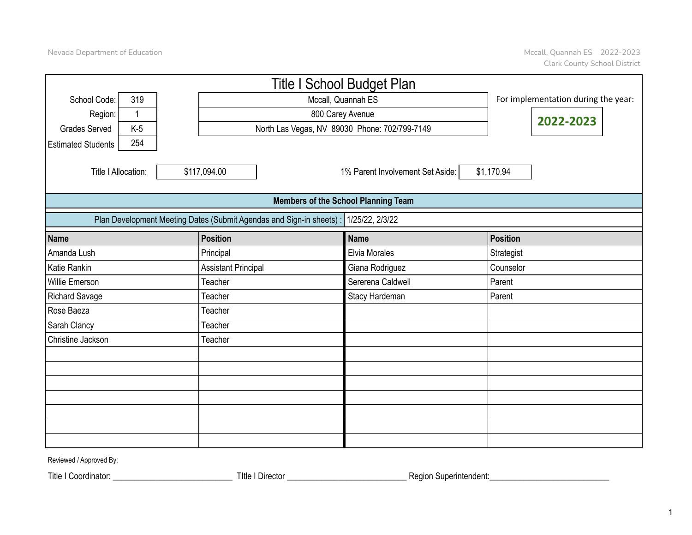|                                               |                                                                                         |  |                                                                |                    | <b>Title I School Budget Plan</b>             |  |                 |  |  |  |  |
|-----------------------------------------------|-----------------------------------------------------------------------------------------|--|----------------------------------------------------------------|--------------------|-----------------------------------------------|--|-----------------|--|--|--|--|
| School Code:                                  | 319                                                                                     |  |                                                                | Mccall, Quannah ES | For implementation during the year:           |  |                 |  |  |  |  |
| Region:                                       | $\mathbf{1}$                                                                            |  |                                                                | 2022-2023          |                                               |  |                 |  |  |  |  |
| <b>Grades Served</b>                          | $K-5$                                                                                   |  |                                                                |                    | North Las Vegas, NV 89030 Phone: 702/799-7149 |  |                 |  |  |  |  |
| <b>Estimated Students</b>                     | 254                                                                                     |  |                                                                |                    |                                               |  |                 |  |  |  |  |
| Title I Allocation:                           |                                                                                         |  | \$1,170.94<br>\$117,094.00<br>1% Parent Involvement Set Aside: |                    |                                               |  |                 |  |  |  |  |
|                                               | <b>Members of the School Planning Team</b>                                              |  |                                                                |                    |                                               |  |                 |  |  |  |  |
|                                               | Plan Development Meeting Dates (Submit Agendas and Sign-in sheets) :<br>1/25/22, 2/3/22 |  |                                                                |                    |                                               |  |                 |  |  |  |  |
| <b>Name</b>                                   |                                                                                         |  | Position                                                       |                    | <b>Name</b>                                   |  | <b>Position</b> |  |  |  |  |
| Amanda Lush                                   |                                                                                         |  | Principal                                                      |                    | Elvia Morales                                 |  | Strategist      |  |  |  |  |
| Katie Rankin                                  |                                                                                         |  | <b>Assistant Principal</b>                                     |                    | Giana Rodriguez                               |  | Counselor       |  |  |  |  |
| Willie Emerson                                |                                                                                         |  | Teacher                                                        |                    | Sererena Caldwell                             |  | Parent          |  |  |  |  |
| <b>Richard Savage</b>                         |                                                                                         |  | Teacher                                                        |                    | Stacy Hardeman                                |  | Parent          |  |  |  |  |
| Rose Baeza                                    |                                                                                         |  | Teacher                                                        |                    |                                               |  |                 |  |  |  |  |
| Sarah Clancy                                  |                                                                                         |  | Teacher                                                        |                    |                                               |  |                 |  |  |  |  |
| Christine Jackson                             |                                                                                         |  | Teacher                                                        |                    |                                               |  |                 |  |  |  |  |
|                                               |                                                                                         |  |                                                                |                    |                                               |  |                 |  |  |  |  |
|                                               |                                                                                         |  |                                                                |                    |                                               |  |                 |  |  |  |  |
|                                               |                                                                                         |  |                                                                |                    |                                               |  |                 |  |  |  |  |
|                                               |                                                                                         |  |                                                                |                    |                                               |  |                 |  |  |  |  |
|                                               |                                                                                         |  |                                                                |                    |                                               |  |                 |  |  |  |  |
|                                               |                                                                                         |  |                                                                |                    |                                               |  |                 |  |  |  |  |
|                                               |                                                                                         |  |                                                                |                    |                                               |  |                 |  |  |  |  |
| $D_1, J_2, \ldots, J, I, A_1, \ldots, J, D_1$ |                                                                                         |  |                                                                |                    |                                               |  |                 |  |  |  |  |

Reviewed / Approved By:

Title I Coordinator: \_\_\_\_\_\_\_\_\_\_\_\_\_\_\_\_\_\_\_\_\_\_\_\_\_\_\_\_ TItle I Director \_\_\_\_\_\_\_\_\_\_\_\_\_\_\_\_\_\_\_\_\_\_\_\_\_\_\_\_ Region Superintendent:\_\_\_\_\_\_\_\_\_\_\_\_\_\_\_\_\_\_\_\_\_\_\_\_\_\_\_\_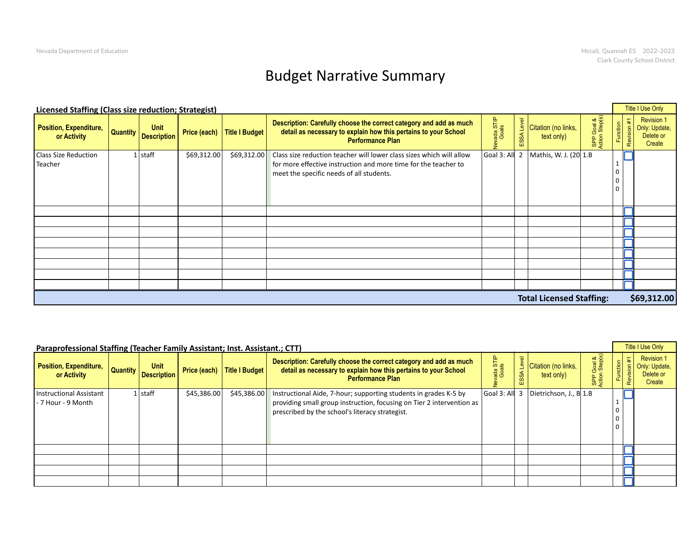## Budget Narrative Summary

|                                                    | <b>Licensed Staffing (Class size reduction; Strategist)</b> |                             |                                                                                                                                                                                                 |                 |                                                     |                     |                                                           |  |  |  |  |  |  |
|----------------------------------------------------|-------------------------------------------------------------|-----------------------------|-------------------------------------------------------------------------------------------------------------------------------------------------------------------------------------------------|-----------------|-----------------------------------------------------|---------------------|-----------------------------------------------------------|--|--|--|--|--|--|
| Position, Expenditure, Quantity Description Primer |                                                             | Price (each) Title I Budget | Description: Carefully choose the correct category and add as much<br>detail as necessary to explain how this pertains to your School<br><b>Performance Plan</b>                                | ada ST<br>Goals | Citation (no links,<br><b>SSA Ley</b><br>text only) | P Goal &<br>on Step | <b>Revision 1</b><br>Only: Update,<br>Delete or<br>Create |  |  |  |  |  |  |
| <b>Class Size Reduction</b><br>Teacher             | $1$ staff<br>\$69,312.00                                    |                             | \$69,312.00 Class size reduction teacher will lower class sizes which will allow<br>for more effective instruction and more time for the teacher to<br>meet the specific needs of all students. |                 | Goal 3: All 2   Mathis, W. J. (20 1.B               |                     |                                                           |  |  |  |  |  |  |
|                                                    |                                                             |                             |                                                                                                                                                                                                 |                 |                                                     |                     |                                                           |  |  |  |  |  |  |
|                                                    |                                                             |                             |                                                                                                                                                                                                 |                 | <b>Total Licensed Staffing:</b>                     |                     | \$69,312.00                                               |  |  |  |  |  |  |

| Paraprofessional Staffing (Teacher Family Assistant; Inst. Assistant.; CTT) |           |             |                                                                                                                                                                                                                |                                                                             |  | Title I Use Only                                              |
|-----------------------------------------------------------------------------|-----------|-------------|----------------------------------------------------------------------------------------------------------------------------------------------------------------------------------------------------------------|-----------------------------------------------------------------------------|--|---------------------------------------------------------------|
| Position, Expenditure, Quantity Unit Unit Price (each) Title I Budget       |           |             | Description: Carefully choose the correct category and add as much<br>detail as necessary to explain how this pertains to your School<br><b>Performance Plan</b>                                               | ∄ Citation (no links,<br>text only)                                         |  | <b>Revision 1</b><br>5   Only: Update,<br>Delete or<br>Create |
| <b>Instructional Assistant</b><br>- 7 Hour - 9 Month                        | $1$ staff | \$45,386.00 | \$45,386.00   Instructional Aide, 7-hour; supporting students in grades K-5 by<br>providing small group instruction, focusing on Tier 2 intervention as $ $<br>prescribed by the school's literacy strategist. | Goal 3: All $\begin{bmatrix} 3 \\ 1.8 \end{bmatrix}$ Dietrichson, J., B 1.B |  |                                                               |
|                                                                             |           |             |                                                                                                                                                                                                                |                                                                             |  |                                                               |
|                                                                             |           |             |                                                                                                                                                                                                                |                                                                             |  |                                                               |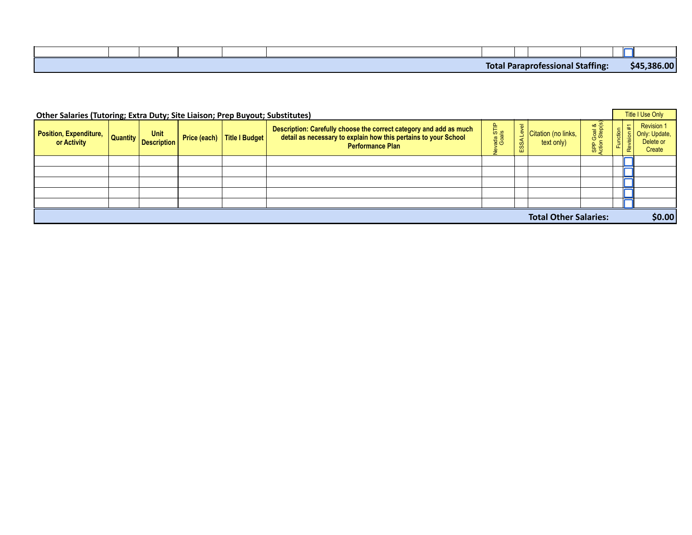|  |  | Tota. | ssional Staffing:<br>нов | <b>Crest</b> | $30C$ 00<br>\$45<br>по област |
|--|--|-------|--------------------------|--------------|-------------------------------|

| Other Salaries (Tutoring; Extra Duty; Site Liaison; Prep Buyout; Substitutes) |  |                                     |  |                               |                                                                                                                                                                  |                    |                      |                                   |                                         |                      | <b>Title I Use Only</b>                                                  |
|-------------------------------------------------------------------------------|--|-------------------------------------|--|-------------------------------|------------------------------------------------------------------------------------------------------------------------------------------------------------------|--------------------|----------------------|-----------------------------------|-----------------------------------------|----------------------|--------------------------------------------------------------------------|
| <b>Position, Expenditure,</b><br>or Activity                                  |  | <b>Unit</b><br>Quantity Description |  | Price (each)   Title I Budget | Description: Carefully choose the correct category and add as much<br>detail as necessary to explain how this pertains to your School<br><b>Performance Plan</b> | rada STIP<br>Goals | $\overline{a}$<br>ΞS | Citation (no links,<br>text only) | Goal &<br>1 Step(s)<br>SPP <sub>C</sub> | 玉<br><b>Function</b> | <b>Revision 1</b><br>$\mathsf{E}$   Only: Update,<br>Delete or<br>Create |
|                                                                               |  |                                     |  |                               |                                                                                                                                                                  |                    |                      |                                   |                                         |                      |                                                                          |
|                                                                               |  |                                     |  |                               |                                                                                                                                                                  |                    |                      |                                   |                                         |                      |                                                                          |
|                                                                               |  |                                     |  |                               |                                                                                                                                                                  |                    |                      |                                   |                                         |                      |                                                                          |
|                                                                               |  |                                     |  |                               |                                                                                                                                                                  |                    |                      |                                   |                                         |                      |                                                                          |
|                                                                               |  |                                     |  |                               |                                                                                                                                                                  |                    |                      |                                   |                                         |                      |                                                                          |
| <b>Total Other Salaries:</b>                                                  |  |                                     |  |                               |                                                                                                                                                                  |                    |                      |                                   |                                         | \$0.00               |                                                                          |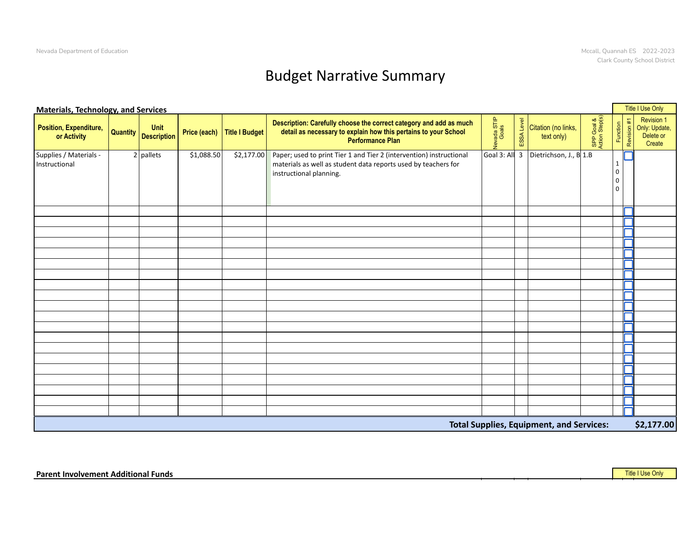## Budget Narrative Summary

|                                                                       | Title I Use Only<br><b>Materials, Technology, and Services</b> |            |                                 |                                                                                                                                                                             |                          |                                                                                  |                        |   |                                                    |  |  |  |
|-----------------------------------------------------------------------|----------------------------------------------------------------|------------|---------------------------------|-----------------------------------------------------------------------------------------------------------------------------------------------------------------------------|--------------------------|----------------------------------------------------------------------------------|------------------------|---|----------------------------------------------------|--|--|--|
| <b>Position, Expenditure, Quantity Unit Unit Conducts</b> Or Activity |                                                                |            | Price (each) Title I Budget $ $ | Description: Carefully choose the correct category and add as much<br>detail as necessary to explain how this pertains to your School<br>Performance Plan                   | rada STIF<br>Goals<br>्द | $\frac{3}{2}$ Citation (no links,<br>text only)                                  | P Goal &<br>on Step(s) |   | Revision 1<br>Only: Update,<br>Delete or<br>Create |  |  |  |
| Supplies / Materials -<br>Instructional                               | $2$ pallets                                                    | \$1,088.50 |                                 | \$2,177.00 Paper; used to print Tier 1 and Tier 2 (intervention) instructional<br>materials as well as student data reports used by teachers for<br>instructional planning. |                          | Goal 3: All $\begin{array}{ c c } 3 & \text{Dietrichson, J., B} 1.B \end{array}$ |                        | ப |                                                    |  |  |  |
|                                                                       |                                                                |            |                                 |                                                                                                                                                                             |                          |                                                                                  |                        |   |                                                    |  |  |  |
|                                                                       |                                                                |            |                                 |                                                                                                                                                                             |                          |                                                                                  |                        | Г |                                                    |  |  |  |
|                                                                       |                                                                |            |                                 |                                                                                                                                                                             |                          |                                                                                  |                        | П |                                                    |  |  |  |
|                                                                       |                                                                |            |                                 |                                                                                                                                                                             |                          |                                                                                  |                        | Г |                                                    |  |  |  |
|                                                                       |                                                                |            |                                 |                                                                                                                                                                             |                          |                                                                                  |                        |   |                                                    |  |  |  |
|                                                                       |                                                                |            |                                 |                                                                                                                                                                             |                          |                                                                                  |                        | ┎ |                                                    |  |  |  |
|                                                                       |                                                                |            |                                 |                                                                                                                                                                             |                          |                                                                                  |                        | n |                                                    |  |  |  |
|                                                                       |                                                                |            |                                 |                                                                                                                                                                             |                          |                                                                                  |                        | П |                                                    |  |  |  |
|                                                                       |                                                                |            |                                 |                                                                                                                                                                             |                          |                                                                                  |                        |   |                                                    |  |  |  |
|                                                                       |                                                                |            |                                 |                                                                                                                                                                             |                          |                                                                                  |                        |   |                                                    |  |  |  |
|                                                                       |                                                                |            |                                 |                                                                                                                                                                             |                          |                                                                                  |                        | Г |                                                    |  |  |  |
|                                                                       |                                                                |            |                                 |                                                                                                                                                                             |                          |                                                                                  |                        | n |                                                    |  |  |  |
|                                                                       |                                                                |            |                                 |                                                                                                                                                                             |                          |                                                                                  |                        | Г |                                                    |  |  |  |
|                                                                       |                                                                |            |                                 |                                                                                                                                                                             |                          |                                                                                  |                        |   |                                                    |  |  |  |
|                                                                       |                                                                |            |                                 |                                                                                                                                                                             |                          |                                                                                  |                        | Γ |                                                    |  |  |  |
|                                                                       |                                                                |            |                                 |                                                                                                                                                                             |                          |                                                                                  |                        |   |                                                    |  |  |  |
|                                                                       |                                                                |            |                                 |                                                                                                                                                                             |                          |                                                                                  |                        | Г |                                                    |  |  |  |
|                                                                       |                                                                |            |                                 |                                                                                                                                                                             |                          |                                                                                  |                        | Г |                                                    |  |  |  |
|                                                                       |                                                                |            |                                 |                                                                                                                                                                             |                          |                                                                                  |                        |   |                                                    |  |  |  |
|                                                                       |                                                                |            |                                 |                                                                                                                                                                             |                          |                                                                                  |                        |   |                                                    |  |  |  |
|                                                                       |                                                                |            |                                 |                                                                                                                                                                             |                          | <b>Total Supplies, Equipment, and Services:</b>                                  |                        |   | \$2,177.00                                         |  |  |  |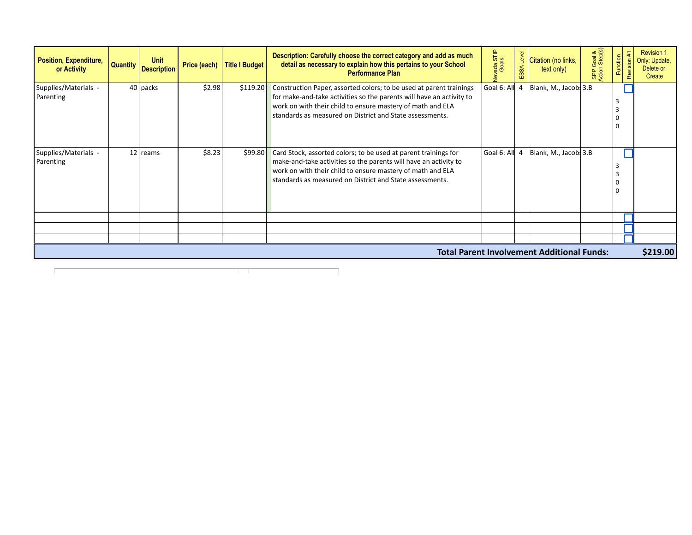| Position, Expenditure,<br>or Activity |  | <b>Unit</b><br>Quantity   Description |        | Price (each) Title I Budget | Description: Carefully choose the correct category and add as much<br>detail as necessary to explain how this pertains to your School<br><b>Performance Plan</b>                                                                                                      | ada STIP<br>Goals | $\frac{3}{2}$ Citation (no links,<br>text only)                   | Goal | 을 | <b>Revision 1</b><br>Only: Update,<br>Delete or<br>Create |
|---------------------------------------|--|---------------------------------------|--------|-----------------------------|-----------------------------------------------------------------------------------------------------------------------------------------------------------------------------------------------------------------------------------------------------------------------|-------------------|-------------------------------------------------------------------|------|---|-----------------------------------------------------------|
| Supplies/Materials -<br>Parenting     |  | $40$ packs                            | \$2.98 | \$119.20                    | Construction Paper, assorted colors; to be used at parent trainings<br>for make-and-take activities so the parents will have an activity to<br>work on with their child to ensure mastery of math and ELA<br>standards as measured on District and State assessments. |                   | Goal 6: All $\,$ 4   Blank, M., Jacobs 3.B                        |      |   |                                                           |
| Supplies/Materials -<br>Parenting     |  | $12$ reams                            | \$8.23 | \$99.80                     | Card Stock, assorted colors; to be used at parent trainings for<br>make-and-take activities so the parents will have an activity to<br>work on with their child to ensure mastery of math and ELA<br>standards as measured on District and State assessments.         |                   | $\vert$ Goal 6: Al $\vert$ 4 $\vert$ Blank, M., Jacob $\vert$ 3.B |      |   |                                                           |
|                                       |  |                                       |        |                             |                                                                                                                                                                                                                                                                       |                   |                                                                   |      |   |                                                           |
|                                       |  |                                       |        |                             |                                                                                                                                                                                                                                                                       |                   | <b>Total Parent Involvement Additional Funds:</b>                 |      |   | \$219.00                                                  |

٦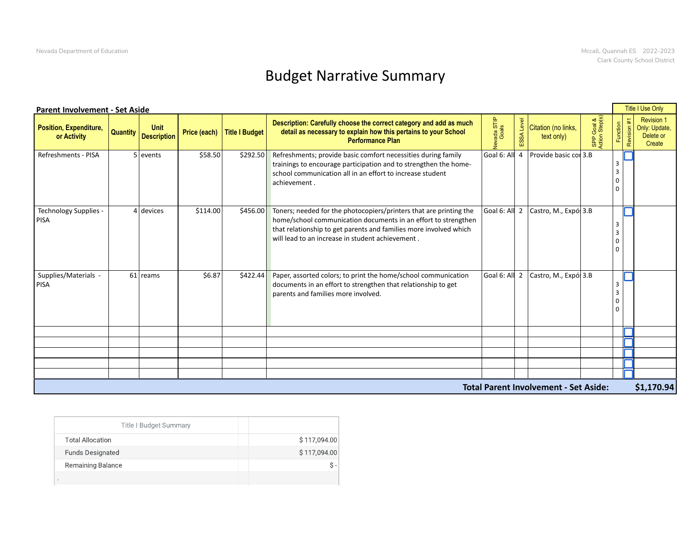## Budget Narrative Summary

|                               | <b>Parent Involvement - Set Aside</b><br>Description: Carefully choose the correct category and add as much<br><b>Unit</b><br>la ST<br>Price (each) Title I Budget<br>detail as necessary to explain how this pertains to your School<br>Quantity Description<br>or Activity<br><b>Performance Plan</b><br>\$58.50<br>\$292.50<br>Refreshments; provide basic comfort necessities during family<br>5 events<br>trainings to encourage participation and to strengthen the home-<br>school communication all in an effort to increase student<br>achievement |          |  |                                                                                                                                                                                                                                                                       |                                                     |  |  |                                                           |  |  |  |  |
|-------------------------------|-------------------------------------------------------------------------------------------------------------------------------------------------------------------------------------------------------------------------------------------------------------------------------------------------------------------------------------------------------------------------------------------------------------------------------------------------------------------------------------------------------------------------------------------------------------|----------|--|-----------------------------------------------------------------------------------------------------------------------------------------------------------------------------------------------------------------------------------------------------------------------|-----------------------------------------------------|--|--|-----------------------------------------------------------|--|--|--|--|
| <b>Position, Expenditure,</b> |                                                                                                                                                                                                                                                                                                                                                                                                                                                                                                                                                             |          |  |                                                                                                                                                                                                                                                                       | Citation (no links,<br>text only)                   |  |  | <b>Revision 1</b><br>Only: Update,<br>Delete or<br>Create |  |  |  |  |
| Refreshments - PISA           |                                                                                                                                                                                                                                                                                                                                                                                                                                                                                                                                                             |          |  |                                                                                                                                                                                                                                                                       | $\vert$ Goal 6: All 4 $\vert$ Provide basic con 3.B |  |  |                                                           |  |  |  |  |
| Technology Supplies -<br>PISA | 4 devices                                                                                                                                                                                                                                                                                                                                                                                                                                                                                                                                                   | \$114.00 |  | \$456.00 Toners; needed for the photocopiers/printers that are printing the<br>home/school communication documents in an effort to strengthen<br>that relationship to get parents and families more involved which<br>will lead to an increase in student achievement | Goal 6: All 2 Castro, M., Expó 3.B                  |  |  |                                                           |  |  |  |  |
| Supplies/Materials -<br>PISA  | 61 reams                                                                                                                                                                                                                                                                                                                                                                                                                                                                                                                                                    | \$6.87   |  | $\frac{1}{2}$ \$422.44 Paper, assorted colors; to print the home/school communication<br>documents in an effort to strengthen that relationship to get<br>parents and families more involved.                                                                         | Goal 6: All 2 $\vert$ Castro, M., Expó $\vert$ 3.B  |  |  |                                                           |  |  |  |  |
|                               |                                                                                                                                                                                                                                                                                                                                                                                                                                                                                                                                                             |          |  |                                                                                                                                                                                                                                                                       |                                                     |  |  |                                                           |  |  |  |  |
|                               |                                                                                                                                                                                                                                                                                                                                                                                                                                                                                                                                                             |          |  |                                                                                                                                                                                                                                                                       |                                                     |  |  |                                                           |  |  |  |  |
|                               | \$1,170.94<br><b>Total Parent Involvement - Set Aside:</b>                                                                                                                                                                                                                                                                                                                                                                                                                                                                                                  |          |  |                                                                                                                                                                                                                                                                       |                                                     |  |  |                                                           |  |  |  |  |
|                               |                                                                                                                                                                                                                                                                                                                                                                                                                                                                                                                                                             |          |  |                                                                                                                                                                                                                                                                       |                                                     |  |  |                                                           |  |  |  |  |

| <b>Title I Budget Summary</b> |              |
|-------------------------------|--------------|
| <b>Total Allocation</b>       | \$117,094.00 |
| <b>Funds Designated</b>       | \$117,094.00 |
| Remaining Balance             | $s -$        |
|                               |              |